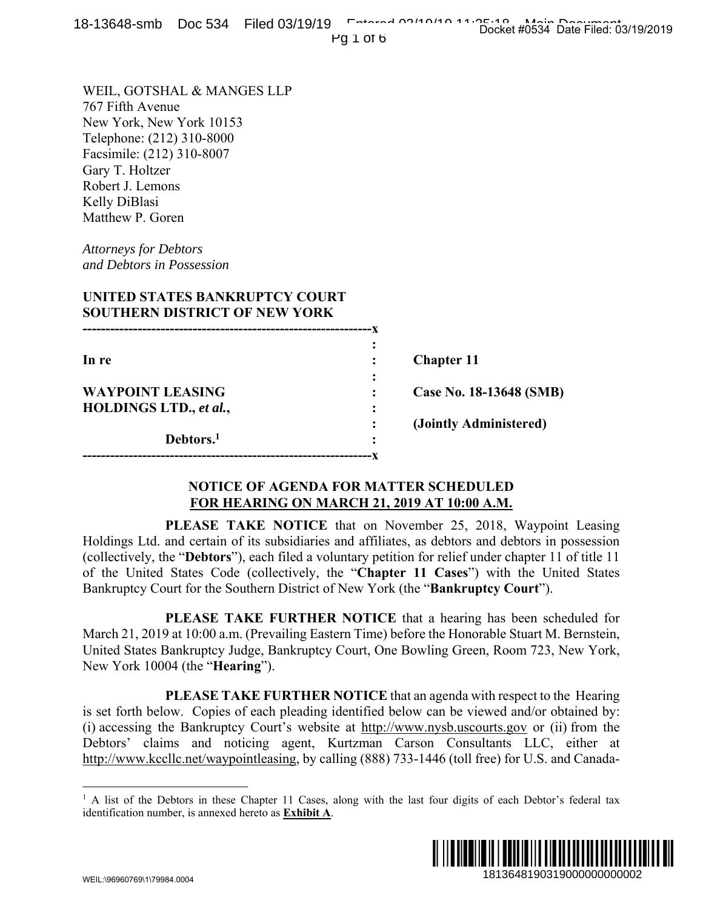| 0-19040-31110 DOC 994 THEO OST-9/19<br>$PQI$ of $6$                                                                                                                                                                                                                                                                                                                                                                                                                                                      | Docket #0534 Date Filed: 03/19/2019                                                                                                       |
|----------------------------------------------------------------------------------------------------------------------------------------------------------------------------------------------------------------------------------------------------------------------------------------------------------------------------------------------------------------------------------------------------------------------------------------------------------------------------------------------------------|-------------------------------------------------------------------------------------------------------------------------------------------|
| WEIL, GOTSHAL & MANGES LLP<br>767 Fifth Avenue<br>New York, New York 10153<br>Telephone: (212) 310-8000<br>Facsimile: (212) 310-8007<br>Gary T. Holtzer<br>Robert J. Lemons<br>Kelly DiBlasi<br>Matthew P. Goren<br><b>Attorneys for Debtors</b><br>and Debtors in Possession<br>UNITED STATES BANKRUPTCY COURT<br><b>SOUTHERN DISTRICT OF NEW YORK</b>                                                                                                                                                  |                                                                                                                                           |
|                                                                                                                                                                                                                                                                                                                                                                                                                                                                                                          |                                                                                                                                           |
| In re                                                                                                                                                                                                                                                                                                                                                                                                                                                                                                    | <b>Chapter 11</b>                                                                                                                         |
| <b>WAYPOINT LEASING</b>                                                                                                                                                                                                                                                                                                                                                                                                                                                                                  | Case No. 18-13648 (SMB)                                                                                                                   |
| <b>HOLDINGS LTD., et al.,</b><br>Debtors. <sup>1</sup>                                                                                                                                                                                                                                                                                                                                                                                                                                                   | (Jointly Administered)                                                                                                                    |
| <b>NOTICE OF AGENDA FOR MATTER SCHEDULED</b><br>FOR HEARING ON MARCH 21, 2019 AT 10:00 A.M.                                                                                                                                                                                                                                                                                                                                                                                                              |                                                                                                                                           |
| Holdings Ltd. and certain of its subsidiaries and affiliates, as debtors and debtors in possession<br>(collectively, the "Debtors"), each filed a voluntary petition for relief under chapter 11 of title 11<br>of the United States Code (collectively, the "Chapter 11 Cases") with the United States<br>Bankruptcy Court for the Southern District of New York (the " <b>Bankruptcy Court</b> ").<br>March 21, 2019 at 10:00 a.m. (Prevailing Eastern Time) before the Honorable Stuart M. Bernstein, | PLEASE TAKE NOTICE that on November 25, 2018, Waypoint Leasing<br><b>PLEASE TAKE FURTHER NOTICE</b> that a hearing has been scheduled for |
| United States Bankruptcy Judge, Bankruptcy Court, One Bowling Green, Room 723, New York,<br>New York 10004 (the " <b>Hearing</b> ").                                                                                                                                                                                                                                                                                                                                                                     |                                                                                                                                           |
| is set forth below. Copies of each pleading identified below can be viewed and/or obtained by:<br>(i) accessing the Bankruptcy Court's website at http://www.nysb.uscourts.gov or (ii) from the<br>Debtors' claims and noticing agent, Kurtzman Carson Consultants LLC, either at<br>http://www.kccllc.net/waypointleasing, by calling (888) 733-1446 (toll free) for U.S. and Canada-                                                                                                                   | <b>PLEASE TAKE FURTHER NOTICE</b> that an agenda with respect to the Hearing                                                              |
| <sup>1</sup> A list of the Debtors in these Chapter 11 Cases, along with the last four digits of each Debtor's federal tax<br>identification number, is annexed hereto as <b>Exhibit A</b> .                                                                                                                                                                                                                                                                                                             |                                                                                                                                           |
| \N/EII :\QGQGN7GQ\1\7QQR/I NNN                                                                                                                                                                                                                                                                                                                                                                                                                                                                           | 1813648190319000000000002                                                                                                                 |

## **NOTICE OF AGENDA FOR MATTER SCHEDULED FOR HEARING ON MARCH 21, 2019 AT 10:00 A.M.**

<sup>&</sup>lt;sup>1</sup> A list of the Debtors in these Chapter 11 Cases, along with the last four digits of each Debtor's federal tax identification number, is annexed hereto as **Exhibit A**.

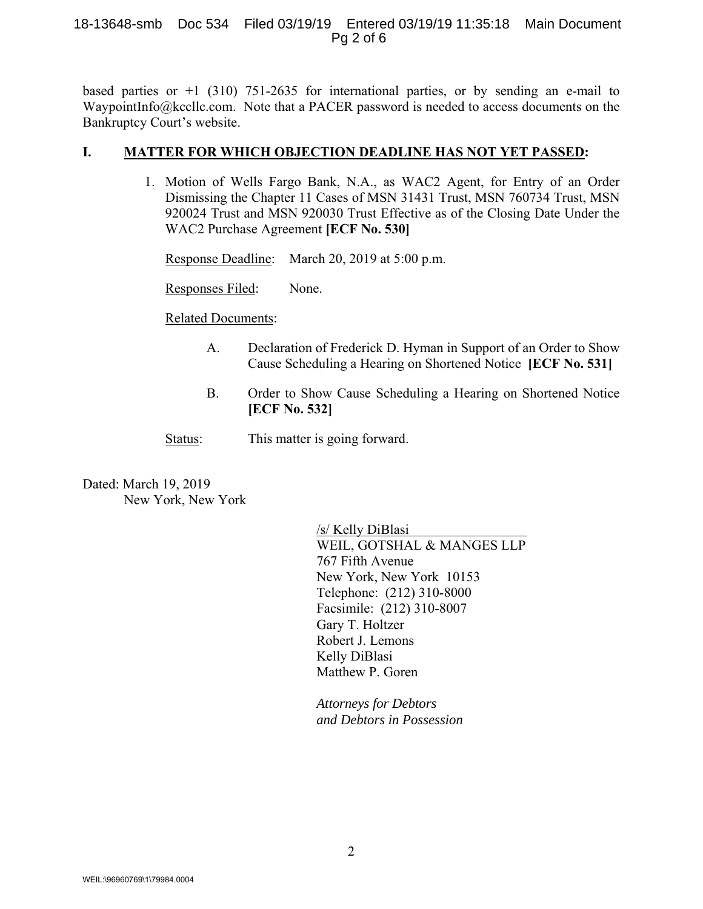## 18-13648-smb Doc 534 Filed 03/19/19 Entered 03/19/19 11:35:18 Main Document Pg 2 of 6

based parties or  $+1$  (310) 751-2635 for international parties, or by sending an e-mail to WaypointInfo@kccllc.com. Note that a PACER password is needed to access documents on the Bankruptcy Court's website.

## **I. MATTER FOR WHICH OBJECTION DEADLINE HAS NOT YET PASSED:**

1. Motion of Wells Fargo Bank, N.A., as WAC2 Agent, for Entry of an Order Dismissing the Chapter 11 Cases of MSN 31431 Trust, MSN 760734 Trust, MSN 920024 Trust and MSN 920030 Trust Effective as of the Closing Date Under the WAC2 Purchase Agreement **[ECF No. 530]**

Response Deadline: March 20, 2019 at 5:00 p.m.

Responses Filed: None.

Related Documents:

- A. Declaration of Frederick D. Hyman in Support of an Order to Show Cause Scheduling a Hearing on Shortened Notice **[ECF No. 531]**
- B. Order to Show Cause Scheduling a Hearing on Shortened Notice **[ECF No. 532]**
- Status: This matter is going forward.

Dated: March 19, 2019 New York, New York

> /s/ Kelly DiBlasi WEIL, GOTSHAL & MANGES LLP 767 Fifth Avenue New York, New York 10153 Telephone: (212) 310-8000 Facsimile: (212) 310-8007 Gary T. Holtzer Robert J. Lemons Kelly DiBlasi Matthew P. Goren

*Attorneys for Debtors and Debtors in Possession*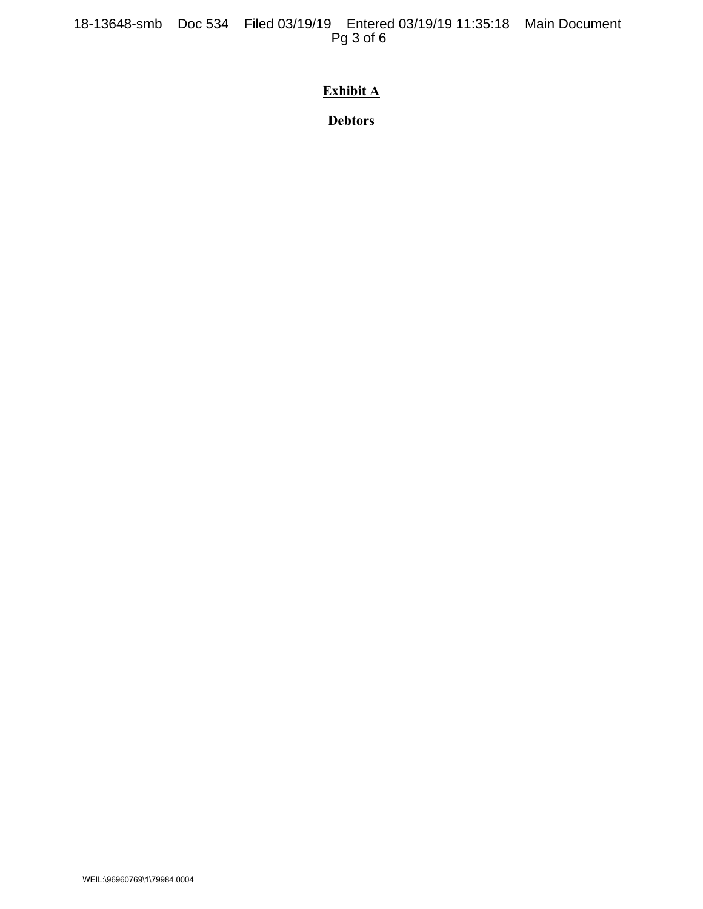18-13648-smb Doc 534 Filed 03/19/19 Entered 03/19/19 11:35:18 Main Document Pg 3 of 6

## **Exhibit A**

**Debtors**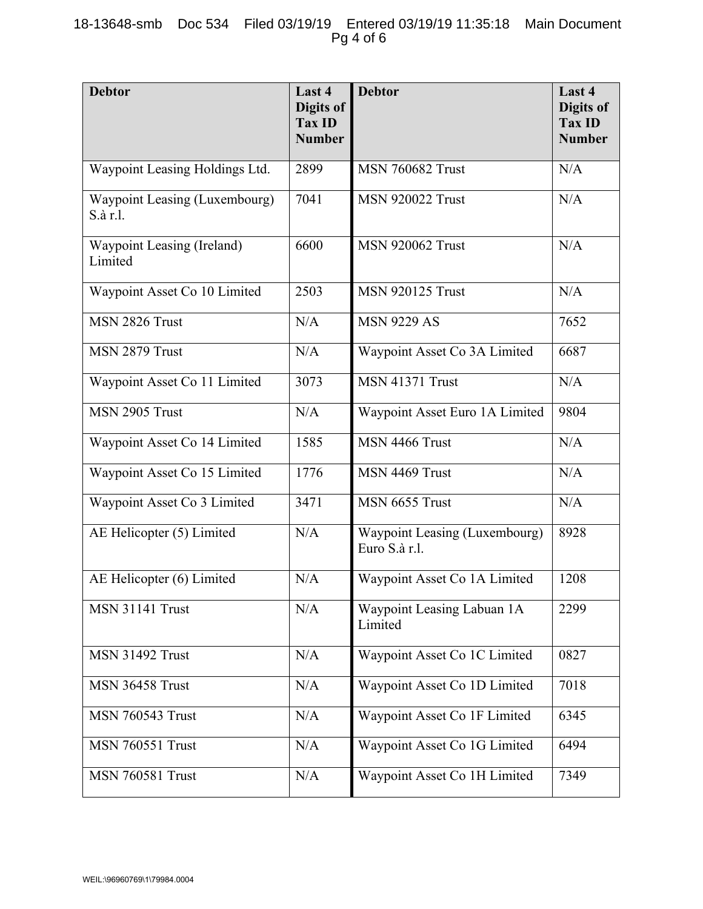| <b>Debtor</b>                             | Last 4<br>Digits of<br><b>Tax ID</b><br><b>Number</b> | <b>Debtor</b>                                  | Last 4<br>Digits of<br><b>Tax ID</b><br><b>Number</b> |
|-------------------------------------------|-------------------------------------------------------|------------------------------------------------|-------------------------------------------------------|
| Waypoint Leasing Holdings Ltd.            | 2899                                                  | <b>MSN 760682 Trust</b>                        | N/A                                                   |
| Waypoint Leasing (Luxembourg)<br>S.à r.l. | 7041                                                  | <b>MSN 920022 Trust</b>                        | N/A                                                   |
| Waypoint Leasing (Ireland)<br>Limited     | 6600                                                  | <b>MSN 920062 Trust</b>                        | N/A                                                   |
| Waypoint Asset Co 10 Limited              | 2503                                                  | <b>MSN 920125 Trust</b>                        | N/A                                                   |
| MSN 2826 Trust                            | N/A                                                   | <b>MSN 9229 AS</b>                             | 7652                                                  |
| MSN 2879 Trust                            | N/A                                                   | Waypoint Asset Co 3A Limited                   | 6687                                                  |
| Waypoint Asset Co 11 Limited              | 3073                                                  | <b>MSN 41371 Trust</b>                         | N/A                                                   |
| MSN 2905 Trust                            | N/A                                                   | Waypoint Asset Euro 1A Limited                 | 9804                                                  |
| Waypoint Asset Co 14 Limited              | 1585                                                  | MSN 4466 Trust                                 | N/A                                                   |
| Waypoint Asset Co 15 Limited              | 1776                                                  | MSN 4469 Trust                                 | N/A                                                   |
| Waypoint Asset Co 3 Limited               | 3471                                                  | MSN 6655 Trust                                 | N/A                                                   |
| AE Helicopter (5) Limited                 | N/A                                                   | Waypoint Leasing (Luxembourg)<br>Euro S.à r.l. | 8928                                                  |
| AE Helicopter (6) Limited                 | N/A                                                   | Waypoint Asset Co 1A Limited                   | 1208                                                  |
| <b>MSN 31141 Trust</b>                    | N/A                                                   | Waypoint Leasing Labuan 1A<br>Limited          | 2299                                                  |
| <b>MSN 31492 Trust</b>                    | N/A                                                   | Waypoint Asset Co 1C Limited                   | 0827                                                  |
| <b>MSN 36458 Trust</b>                    | N/A                                                   | Waypoint Asset Co 1D Limited                   | 7018                                                  |
| <b>MSN 760543 Trust</b>                   | N/A                                                   | Waypoint Asset Co 1F Limited                   | 6345                                                  |
| <b>MSN 760551 Trust</b>                   | N/A                                                   | Waypoint Asset Co 1G Limited                   | 6494                                                  |
| <b>MSN 760581 Trust</b>                   | N/A                                                   | Waypoint Asset Co 1H Limited                   | 7349                                                  |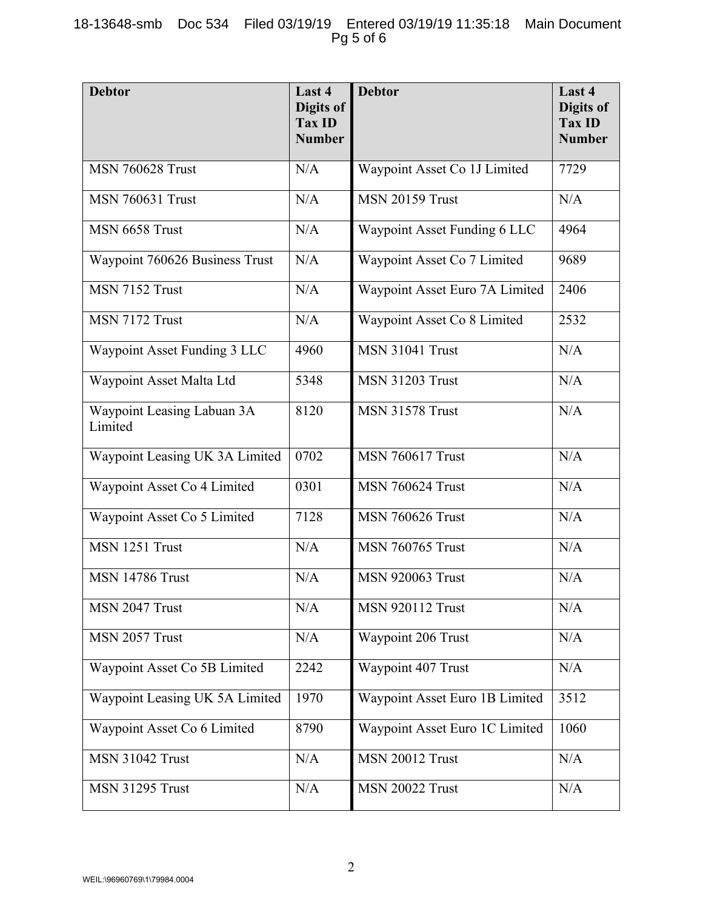| <b>Debtor</b>                         | Last 4<br>Digits of<br><b>Tax ID</b><br><b>Number</b> | <b>Debtor</b>                  | Last 4<br>Digits of<br><b>Tax ID</b><br><b>Number</b> |
|---------------------------------------|-------------------------------------------------------|--------------------------------|-------------------------------------------------------|
| <b>MSN 760628 Trust</b>               | N/A                                                   | Waypoint Asset Co 1J Limited   | 7729                                                  |
| <b>MSN 760631 Trust</b>               | N/A                                                   | <b>MSN 20159 Trust</b>         | N/A                                                   |
| MSN 6658 Trust                        | N/A                                                   | Waypoint Asset Funding 6 LLC   | 4964                                                  |
| Waypoint 760626 Business Trust        | N/A                                                   | Waypoint Asset Co 7 Limited    | 9689                                                  |
| MSN 7152 Trust                        | N/A                                                   | Waypoint Asset Euro 7A Limited | 2406                                                  |
| MSN 7172 Trust                        | N/A                                                   | Waypoint Asset Co 8 Limited    | 2532                                                  |
| Waypoint Asset Funding 3 LLC          | 4960                                                  | <b>MSN 31041 Trust</b>         | N/A                                                   |
| Waypoint Asset Malta Ltd              | 5348                                                  | <b>MSN 31203 Trust</b>         | N/A                                                   |
| Waypoint Leasing Labuan 3A<br>Limited | 8120                                                  | <b>MSN 31578 Trust</b>         | N/A                                                   |
| Waypoint Leasing UK 3A Limited        | 0702                                                  | <b>MSN 760617 Trust</b>        | N/A                                                   |
| Waypoint Asset Co 4 Limited           | 0301                                                  | <b>MSN 760624 Trust</b>        | N/A                                                   |
| Waypoint Asset Co 5 Limited           | 7128                                                  | <b>MSN 760626 Trust</b>        | N/A                                                   |
| MSN 1251 Trust                        | N/A                                                   | <b>MSN 760765 Trust</b>        | N/A                                                   |
| <b>MSN 14786 Trust</b>                | N/A                                                   | <b>MSN 920063 Trust</b>        | N/A                                                   |
| MSN 2047 Trust                        | N/A                                                   | <b>MSN 920112 Trust</b>        | N/A                                                   |
| MSN 2057 Trust                        | N/A                                                   | Waypoint 206 Trust             | N/A                                                   |
| Waypoint Asset Co 5B Limited          | 2242                                                  | Waypoint 407 Trust             | N/A                                                   |
| Waypoint Leasing UK 5A Limited        | 1970                                                  | Waypoint Asset Euro 1B Limited | 3512                                                  |
| Waypoint Asset Co 6 Limited           | 8790                                                  | Waypoint Asset Euro 1C Limited | 1060                                                  |
| <b>MSN 31042 Trust</b>                | N/A                                                   | <b>MSN 20012 Trust</b>         | N/A                                                   |
| <b>MSN 31295 Trust</b>                | N/A                                                   | <b>MSN 20022 Trust</b>         | N/A                                                   |